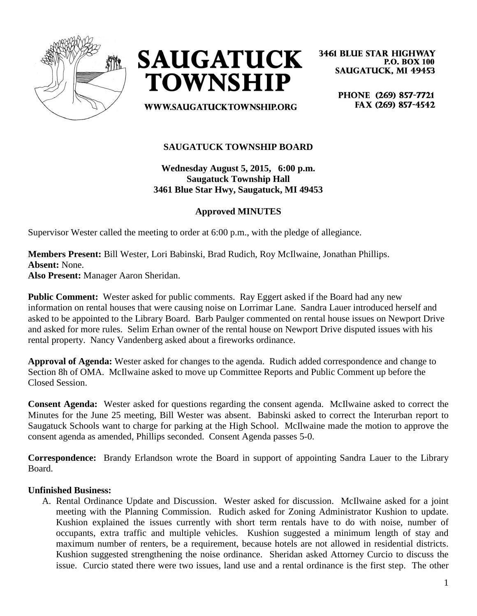



**3461 BLUE STAR HIGHWAY P.O. BOX 100 SAUGATUCK, MI 49453** 

**WWW.SAUGATUCKTOWNSHIP.ORG** 

PHONE (269) 857-7721 FAX (269) 857-4542

# **SAUGATUCK TOWNSHIP BOARD**

**Wednesday August 5, 2015, 6:00 p.m. Saugatuck Township Hall 3461 Blue Star Hwy, Saugatuck, MI 49453**

## **Approved MINUTES**

Supervisor Wester called the meeting to order at 6:00 p.m., with the pledge of allegiance.

**Members Present:** Bill Wester, Lori Babinski, Brad Rudich, Roy McIlwaine, Jonathan Phillips. **Absent:** None.

**Also Present:** Manager Aaron Sheridan.

**Public Comment:** Wester asked for public comments. Ray Eggert asked if the Board had any new information on rental houses that were causing noise on Lorrimar Lane. Sandra Lauer introduced herself and asked to be appointed to the Library Board. Barb Paulger commented on rental house issues on Newport Drive and asked for more rules. Selim Erhan owner of the rental house on Newport Drive disputed issues with his rental property. Nancy Vandenberg asked about a fireworks ordinance.

**Approval of Agenda:** Wester asked for changes to the agenda. Rudich added correspondence and change to Section 8h of OMA. McIlwaine asked to move up Committee Reports and Public Comment up before the Closed Session.

**Consent Agenda:** Wester asked for questions regarding the consent agenda. McIlwaine asked to correct the Minutes for the June 25 meeting, Bill Wester was absent. Babinski asked to correct the Interurban report to Saugatuck Schools want to charge for parking at the High School. McIlwaine made the motion to approve the consent agenda as amended, Phillips seconded. Consent Agenda passes 5-0.

**Correspondence:** Brandy Erlandson wrote the Board in support of appointing Sandra Lauer to the Library Board.

#### **Unfinished Business:**

A. Rental Ordinance Update and Discussion. Wester asked for discussion. McIlwaine asked for a joint meeting with the Planning Commission. Rudich asked for Zoning Administrator Kushion to update. Kushion explained the issues currently with short term rentals have to do with noise, number of occupants, extra traffic and multiple vehicles. Kushion suggested a minimum length of stay and maximum number of renters, be a requirement, because hotels are not allowed in residential districts. Kushion suggested strengthening the noise ordinance. Sheridan asked Attorney Curcio to discuss the issue. Curcio stated there were two issues, land use and a rental ordinance is the first step. The other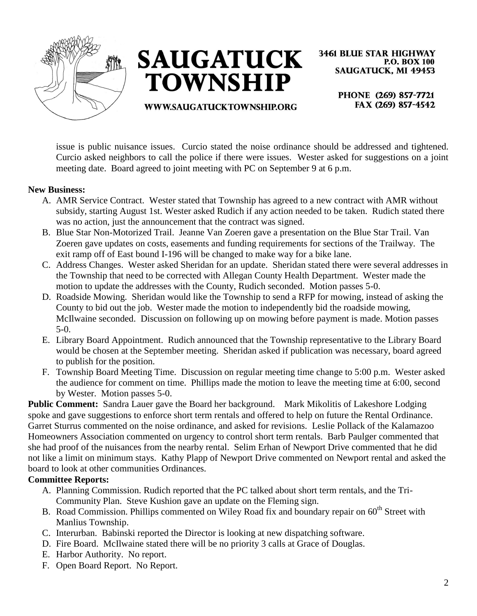



**3461 BLUE STAR HIGHWAY P.O. BOX 100 SAUGATUCK, MI 49453** 

**WWW.SAUGATUCKTOWNSHIP.ORG** 

PHONE (269) 857-7721 FAX (269) 857-4542

issue is public nuisance issues. Curcio stated the noise ordinance should be addressed and tightened. Curcio asked neighbors to call the police if there were issues. Wester asked for suggestions on a joint meeting date. Board agreed to joint meeting with PC on September 9 at 6 p.m.

### **New Business:**

- A. AMR Service Contract. Wester stated that Township has agreed to a new contract with AMR without subsidy, starting August 1st. Wester asked Rudich if any action needed to be taken. Rudich stated there was no action, just the announcement that the contract was signed.
- B. Blue Star Non-Motorized Trail. Jeanne Van Zoeren gave a presentation on the Blue Star Trail. Van Zoeren gave updates on costs, easements and funding requirements for sections of the Trailway. The exit ramp off of East bound I-196 will be changed to make way for a bike lane.
- C. Address Changes. Wester asked Sheridan for an update. Sheridan stated there were several addresses in the Township that need to be corrected with Allegan County Health Department. Wester made the motion to update the addresses with the County, Rudich seconded. Motion passes 5-0.
- D. Roadside Mowing. Sheridan would like the Township to send a RFP for mowing, instead of asking the County to bid out the job. Wester made the motion to independently bid the roadside mowing, McIlwaine seconded. Discussion on following up on mowing before payment is made. Motion passes 5-0.
- E. Library Board Appointment. Rudich announced that the Township representative to the Library Board would be chosen at the September meeting. Sheridan asked if publication was necessary, board agreed to publish for the position.
- F. Township Board Meeting Time. Discussion on regular meeting time change to 5:00 p.m. Wester asked the audience for comment on time. Phillips made the motion to leave the meeting time at 6:00, second by Wester. Motion passes 5-0.

**Public Comment:** Sandra Lauer gave the Board her background. Mark Mikolitis of Lakeshore Lodging spoke and gave suggestions to enforce short term rentals and offered to help on future the Rental Ordinance. Garret Sturrus commented on the noise ordinance, and asked for revisions. Leslie Pollack of the Kalamazoo Homeowners Association commented on urgency to control short term rentals. Barb Paulger commented that she had proof of the nuisances from the nearby rental. Selim Erhan of Newport Drive commented that he did not like a limit on minimum stays. Kathy Plapp of Newport Drive commented on Newport rental and asked the board to look at other communities Ordinances.

## **Committee Reports:**

- A. Planning Commission. Rudich reported that the PC talked about short term rentals, and the Tri-Community Plan. Steve Kushion gave an update on the Fleming sign.
- B. Road Commission. Phillips commented on Wiley Road fix and boundary repair on  $60<sup>th</sup>$  Street with Manlius Township.
- C. Interurban. Babinski reported the Director is looking at new dispatching software.
- D. Fire Board. McIlwaine stated there will be no priority 3 calls at Grace of Douglas.
- E. Harbor Authority. No report.
- F. Open Board Report. No Report.